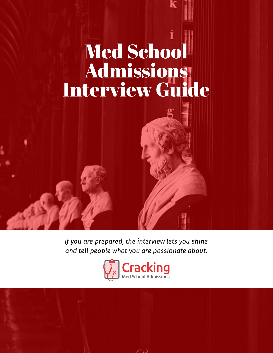# Med School **Admissions** Interview Guide

If you are prepared, the interview lets you shine and tell people what you are passionate about.

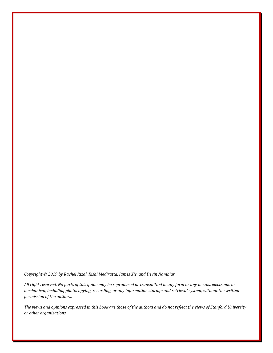*Copyright © 2019 by Rachel Rizal, Rishi Mediratta, James Xie, and Devin Nambiar*

*All right reserved. No parts of this guide may be reproduced or transmitted in any form or any means, electronic or mechanical, including photocopying, recording, or any information storage and retrieval system, without the written permission of the authors.*

*The views and opinions expressed in this book are those of the authors and do not reflect the views of Stanford University or other organizations.*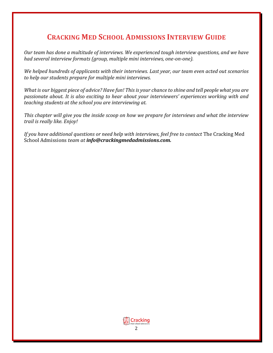## **CRACKING MED SCHOOL ADMISSIONS INTERVIEW GUIDE**

*Our team has done a multitude of interviews. We experienced tough interview questions, and we have had several interview formats (group, multiple mini interviews, one-on-one).*

*We helped hundreds of applicants with their interviews. Last year, our team even acted out scenarios to help our students prepare for multiple mini interviews.* 

*What is our biggest piece of advice? Have fun! This is your chance to shine and tell people what you are passionate about. It is also exciting to hear about your interviewers' experiences working with and teaching students at the school you are interviewing at.* 

*This chapter will give you the inside scoop on how we prepare for interviews and what the interview trail is really like. Enjoy!*

*If you have additional questions or need help with interviews, feel free to contact* The Cracking Med School Admissions *team at info@crackingmedadmissions.com.*

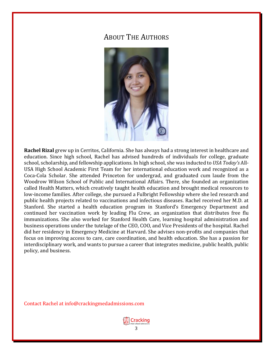## ABOUT THE AUTHORS



**Rachel Rizal** grew up in Cerritos, California. She has always had a strong interest in healthcare and education. Since high school, Rachel has advised hundreds of individuals for college, graduate school, scholarship, and fellowship applications. In high school, she was inducted to *USA Today's* All-USA High School Academic First Team for her international education work and recognized as a Coca-Cola Scholar. She attended Princeton for undergrad, and graduated cum laude from the Woodrow Wilson School of Public and International Affairs. There, she founded an organization called Health Matters, which creatively taught health education and brought medical resources to low-income families. After college, she pursued a Fulbright Fellowship where she led research and public health projects related to vaccinations and infectious diseases. Rachel received her M.D. at Stanford. She started a health education program in Stanford's Emergency Department and continued her vaccination work by leading Flu Crew, an organization that distributes free flu immunizations. She also worked for Stanford Health Care, learning hospital administration and business operations under the tutelage of the CEO, COO, and Vice Presidents of the hospital. Rachel did her residency in Emergency Medicine at Harvard. She advises non-profits and companies that focus on improving access to care, care coordination, and health education. She has a passion for interdisciplinary work, and wants to pursue a career that integrates medicine, public health, public policy, and business.

Contact Rachel at info@crackingmedadmissions.com

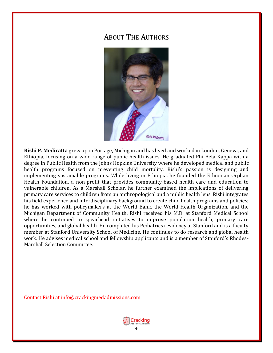## ABOUT THE AUTHORS



**Rishi P. Mediratta** grew up in Portage, Michigan and has lived and worked in London, Geneva, and Ethiopia, focusing on a wide-range of public health issues. He graduated Phi Beta Kappa with a degree in Public Health from the Johns Hopkins University where he developed medical and public health programs focused on preventing child mortality. Rishi's passion is designing and implementing sustainable programs. While living in Ethiopia, he founded the Ethiopian Orphan Health Foundation, a non-profit that provides community-based health care and education to vulnerable children. As a Marshall Scholar, he further examined the implications of delivering primary care services to children from an anthropological and a public health lens. Rishi integrates his field experience and interdisciplinary background to create child health programs and policies; he has worked with policymakers at the World Bank, the World Health Organization, and the Michigan Department of Community Health. Rishi received his M.D. at Stanford Medical School where he continued to spearhead initiatives to improve population health, primary care opportunities, and global health. He completed his Pediatrics residency at Stanford and is a faculty member at Stanford University School of Medicine. He continues to do research and global health work. He advises medical school and fellowship applicants and is a member of Stanford's Rhodes-Marshall Selection Committee.

Contact Rishi at info@crackingmedadmissions.com

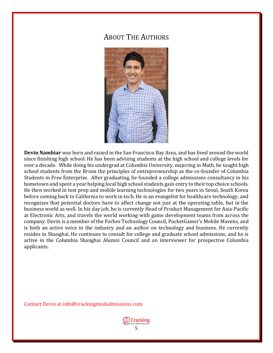## ABOUT THE AUTHORS



**Devin Nambiar** was born and raised in the San Francisco Bay Area, and has lived around the world since finishing high school. He has been advising students at the high school and college levels for over a decade. While doing his undergrad at Columbia University, majoring in Math, he taught high school students from the Bronx the principles of entrepreneurship as the co-founder of Columbia Students in Free Enterprise. After graduating, he founded a college admissions consultancy in his hometown and spent a year helping local high school students gain entry to their top choice schools. He then worked in test prep and mobile learning technologies for two years in Seoul, South Korea before coming back to California to work in tech. He is an evangelist for healthcare technology, and recognizes that potential doctors have to affect change not just at the operating table, but in the business world as well. In his day job, he is currently Head of Product Management for Asia-Pacific at Electronic Arts, and travels the world working with game development teams from across the company. Devin is a member of the Forbes Technology Council, PocketGamer's Mobile Mavens, and is both an active voice in the industry and an author on technology and business. He currently resides in Shanghai. He continues to consult for college and graduate school admissions, and he is active in the Columbia Shanghai Alumni Council and an interviewer for prospective Columbia applicants.

Contact Devin at info@crackingmedadmissions.com

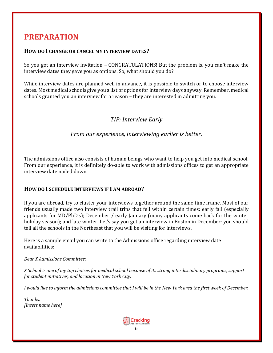## **PREPARATION**

#### **HOW DO I CHANGE OR CANCEL MY INTERVIEW DATES?**

So you got an interview invitation – CONGRATULATIONS! But the problem is, you can't make the interview dates they gave you as options. So, what should you do?

While interview dates are planned well in advance, it is possible to switch or to choose interview dates. Most medical schools give you a list of options for interview days anyway. Remember, medical schools granted you an interview for a reason – they are interested in admitting you.

### *TIP: Interview Early*

*From our experience, interviewing earlier is better.*

The admissions office also consists of human beings who want to help you get into medical school. From our experience, it is definitely do-able to work with admissions offices to get an appropriate interview date nailed down.

#### **HOW DO I SCHEDULE INTERVIEWS IF I AM ABROAD?**

If you are abroad, try to cluster your interviews together around the same time frame. Most of our friends usually made two interview trail trips that fell within certain times: early fall (especially applicants for MD/PhD's); December / early January (many applicants come back for the winter holiday season); and late winter. Let's say you get an interview in Boston in December: you should tell all the schools in the Northeast that you will be visiting for interviews.

Here is a sample email you can write to the Admissions office regarding interview date availabilities:

#### *Dear X Admissions Committee:*

*X School is one of my top choices for medical school because of its strong interdisciplinary programs, support for student initiatives, and location in New York City.* 

*I* would like to inform the admissions committee that I will be in the New York area the first week of December.

*Thanks, [Insert name here]*

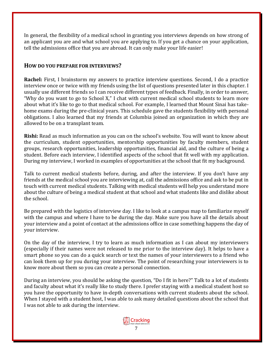In general, the flexibility of a medical school in granting you interviews depends on how strong of an applicant you are and what school you are applying to. If you get a chance on your application, tell the admissions office that you are abroad. It can only make your life easier!

#### **HOW DO YOU PREPARE FOR INTERVIEWS?**

**Rachel:** First, I brainstorm my answers to practice interview questions. Second, I do a practice interview once or twice with my friends using the list of questions presented later in this chapter. I usually use different friends so I can receive different types of feedback. Finally, in order to answer, "Why do you want to go to School X," I chat with current medical school students to learn more about what it's like to go to that medical school. For example, I learned that Mount Sinai has takehome exams during the pre-clinical years. This schedule gave the students flexibility with personal obligations. I also learned that my friends at Columbia joined an organization in which they are allowed to be on a transplant team.

**Rishi:** Read as much information as you can on the school's website. You will want to know about the curriculum, student opportunities, mentorship opportunities by faculty members, student groups, research opportunities, leadership opportunities, financial aid, and the culture of being a student. Before each interview, I identified aspects of the school that fit well with my application. During my interview, I worked in examples of opportunities at the school that fit my background.

Talk to current medical students before, during, and after the interview. If you don't have any friends at the medical school you are interviewing at, call the admissions office and ask to be put in touch with current medical students. Talking with medical students will help you understand more about the culture of being a medical student at that school and what students like and dislike about the school.

Be prepared with the logistics of interview day. I like to look at a campus map to familiarize myself with the campus and where I have to be during the day. Make sure you have all the details about your interview and a point of contact at the admissions office in case something happens the day of your interview.

On the day of the interview, I try to learn as much information as I can about my interviewers (especially if their names were not released to me prior to the interview day). It helps to have a smart phone so you can do a quick search or text the names of your interviewers to a friend who can look them up for you during your interview. The point of researching your interviewers is to know more about them so you can create a personal connection.

During an interview, you should be asking the question, "Do I fit in here?" Talk to a lot of students and faculty about what it's really like to study there. I prefer staying with a medical student host so you have the opportunity to have in-depth conversations with current students about the school. When I stayed with a student host, I was able to ask many detailed questions about the school that I was not able to ask during the interview.

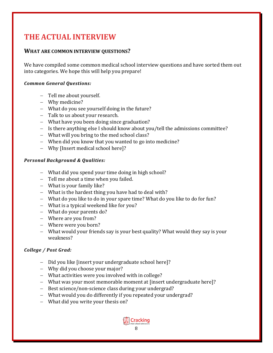## **THE ACTUAL INTERVIEW**

#### **WHAT ARE COMMON INTERVIEW QUESTIONS?**

We have compiled some common medical school interview questions and have sorted them out into categories. We hope this will help you prepare!

#### *Common General Questions:*

- − Tell me about yourself.
- − Why medicine?
- − What do you see yourself doing in the future?
- − Talk to us about your research.
- − What have you been doing since graduation?
- − Is there anything else I should know about you/tell the admissions committee?
- − What will you bring to the med school class?
- − When did you know that you wanted to go into medicine?
- − Why [Insert medical school here]?

#### *Personal Background & Qualities:*

- − What did you spend your time doing in high school?
- − Tell me about a time when you failed.
- − What is your family like?
- − What is the hardest thing you have had to deal with?
- − What do you like to do in your spare time? What do you like to do for fun?
- − What is a typical weekend like for you?
- − What do your parents do?
- − Where are you from?
- − Where were you born?
- − What would your friends say is your best quality? What would they say is your weakness?

#### *College / Post Grad:*

- − Did you like [insert your undergraduate school here]?
- − Why did you choose your major?
- − What activities were you involved with in college?
- − What was your most memorable moment at [insert undergraduate here]?
- − Best science/non-science class during your undergrad?
- − What would you do differently if you repeated your undergrad?
- − What did you write your thesis on?

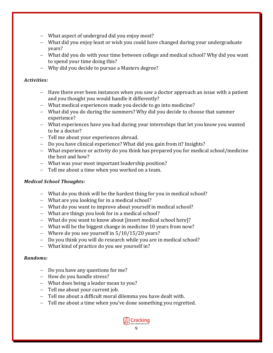- − What aspect of undergrad did you enjoy most?
- − What did you enjoy least or wish you could have changed during your undergraduate years?
- − What did you do with your time between college and medical school? Why did you want to spend your time doing this?
- − Why did you decide to pursue a Masters degree?

#### *Activities:*

- − Have there ever been instances when you saw a doctor approach an issue with a patient and you thought you would handle it differently?
- − What medical experiences made you decide to go into medicine?
- − What did you do during the summers? Why did you decide to choose that summer experience?
- − What experiences have you had during your internships that let you know you wanted to be a doctor?
- − Tell me about your experiences abroad.
- − Do you have clinical experience? What did you gain from it? Insights?
- − What experience or activity do you think has prepared you for medical school/medicine the best and how?
- − What was your most important leadership position?
- − Tell me about a time when you worked on a team.

#### *Medical School Thoughts:*

- − What do you think will be the hardest thing for you in medical school?
- − What are you looking for in a medical school?
- − What do you want to improve about yourself in medical school?
- − What are things you look for in a medical school?
- − What do you want to know about [insert medical school here]?
- − What will be the biggest change in medicine 10 years from now?
- − Where do you see yourself in 5/10/15/20 years?
- − Do you think you will do research while you are in medical school?
- − What kind of practice do you see yourself in?

#### *Randoms:*

- − Do you have any questions for me?
- − How do you handle stress?
- − What does being a leader mean to you?
- − Tell me about your current job.
- − Tell me about a difficult moral dilemma you have dealt with.
- − Tell me about a time when you've done something you regretted.

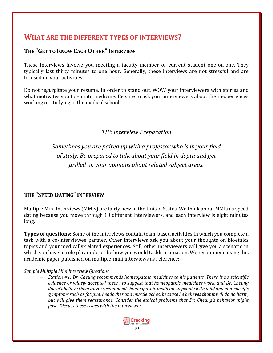## **WHAT ARE THE DIFFERENT TYPES OF INTERVIEWS?**

#### **THE "GET TO KNOW EACH OTHER"INTERVIEW**

These interviews involve you meeting a faculty member or current student one-on-one. They typically last thirty minutes to one hour. Generally, these interviews are not stressful and are focused on your activities.

Do not regurgitate your resume. In order to stand out, WOW your interviewers with stories and what motivates you to go into medicine. Be sure to ask your interviewers about their experiences working or studying at the medical school.

*TIP: Interview Preparation*

*Sometimes you are paired up with a professor who is in your field of study. Be prepared to talk about your field in depth and get grilled on your opinions about related subject areas.*

#### **THE "SPEED DATING"INTERVIEW**

Multiple Mini Interviews (MMIs) are fairly new in the United States. We think about MMIs as speed dating because you move through 10 different interviewers, and each interview is eight minutes long.

**Types of questions:** Some of the interviews contain team-based activities in which you complete a task with a co-interviewee partner. Other interviews ask you about your thoughts on bioethics topics and your medically-related experiences. Still, other interviewers will give you a scenario in which you have to role play or describe how you would tackle a situation. We recommend using this academic paper published on multiple-mini interviews as reference:

#### *Sample Multiple Mini Interview Questions*

− *Station #1: Dr. Cheung recommends homeopathic medicines to his patients. There is no scientific evidence or widely accepted theory to suggest that homeopathic medicines work, and Dr. Cheung doesn't believe them to. He recommends homeopathic medicine to people with mild and non-specific symptoms such as fatigue, headaches and muscle aches, because he believes that it will do no harm, but will give them reassurance. Consider the ethical problems that Dr. Cheung's behavior might pose. Discuss these issues with the interviewer.*

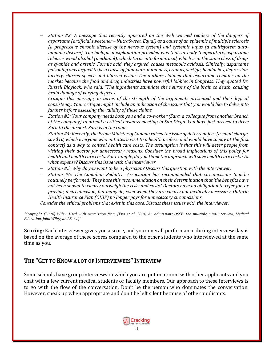− *Station #2: A message that recently appeared on the Web warned readers of the dangers of aspartame (artificial sweetener – NutraSweet, Equal) as a cause of an epidemic of multiple sclerosis (a progressive chronic disease of the nervous system) and systemic lupus (a multisystem autoimmune disease). The biological explanation provided was that, at body temperature, aspartame releases wood alcohol (methanol), which turns into formic acid, which is in the same class of drugs as cyanide and arsenic. Formic acid, they argued, causes metabolic acidosis. Clinically, aspartame poisoning was argued to be a cause of joint pain, numbness, cramps, vertigo, headaches, depression, anxiety, slurred speech and blurred vision. The authors claimed that aspartame remains on the market because the food and drug industries have powerful lobbies in Congress. They quoted Dr. Russell Blaylock, who said, "The ingredients stimulate the neurons of the brain to death, causing brain damage of varying degrees."* 

*Critique this message, in terms of the strength of the arguments presented and their logical consistency. Your critique might include an indication of the issues that you would like to delve into further before assessing the validity of these claims.*

- − *Station #3: Your company needs both you and a co-worker (Sara, a colleague from another branch of the company) to attend a critical business meeting in San Diego. You have just arrived to drive Sara to the airport. Sara is in the room.*
- − *Station #4: Recently, the Prime Minister of Canada raised the issue of deterrent fees (a small charge, say \$10, which everyone who initiates a visit to a health professional would have to pay at the first contact) as a way to control health care costs. The assumption is that this will deter people from visiting their doctor for unnecessary reasons. Consider the broad implications of this policy for health and health care costs. For example, do you think the approach will save health care costs? At what expense? Discuss this issue with the interviewer.*
- − *Station #5: Why do you want to be a physician? Discuss this question with the interviewer.*
- − *Station #6: The Canadian Pediatric Association has recommended that circumcisions 'not be routinely performed.' They base this recommendation on their determination that 'the benefits have not been shown to clearly outweigh the risks and costs.' Doctors have no obligation to refer for, or provide, a circumcision, but many do, even when they are clearly not medically necessary. Ontario Health Insurance Plan (OHIP) no longer pays for unnecessary circumcisions.*

*Consider the ethical problems that exist in this case. Discuss these issues with the interviewer.*

*"Copyright (2004) Wiley. Used with permission from (Eva et al. 2004, An admissions OSCE: the multiple mini-interview, Medical Education, John Wiley, and Sons.)"*

**Scoring:** Each interviewer gives you a score, and your overall performance during interview day is based on the average of these scores compared to the other students who interviewed at the same time as you.

#### **THE "GET TO KNOW A LOT OF INTERVIEWEES"INTERVIEW**

Some schools have group interviews in which you are put in a room with other applicants and you chat with a few current medical students or faculty members. Our approach to these interviews is to go with the flow of the conversation. Don't be the person who dominates the conversation. However, speak up when appropriate and don't be left silent because of other applicants.

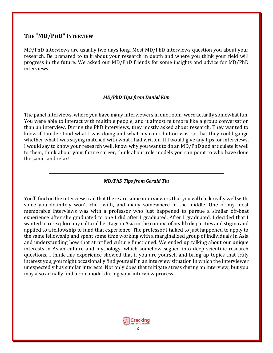#### **THE "MD/PHD"INTERVIEW**

MD/PhD interviews are usually two days long. Most MD/PhD interviews question you about your research. Be prepared to talk about your research in depth and where you think your field will progress in the future. We asked our MD/PhD friends for some insights and advice for MD/PhD interviews.

#### *MD/PhD Tips from Daniel Kim*

The panel interviews, where you have many interviewers in one room, were actually somewhat fun. You were able to interact with multiple people, and it almost felt more like a group conversation than an interview. During the PhD interviews, they mostly asked about research. They wanted to know if I understood what I was doing and what my contribution was, so that they could gauge whether what I was saying matched with what I had written. If I would give any tips for interviews, I would say to know your research well, know why you want to do an MD/PhD and articulate it well to them, think about your future career, think about role models you can point to who have done the same, and relax!

*MD/PhD Tips from Gerald Tiu*

You'll find on the interview trail that there are some interviewers that you will click really well with, some you definitely won't click with, and many somewhere in the middle. One of my most memorable interviews was with a professor who just happened to pursue a similar off-beat experience after she graduated to one I did after I graduated. After I graduated, I decided that I wanted to re-explore my cultural heritage in Asia in the context of health disparities and stigma and applied to a fellowship to fund that experience. The professor I talked to just happened to apply to the same fellowship and spent some time working with a marginalized group of individuals in Asia and understanding how that stratified culture functioned. We ended up talking about our unique interests in Asian culture and mythology, which somehow segued into deep scientific research questions. I think this experience showed that if you are yourself and bring up topics that truly interest you, you might occasionally find yourself in an interview situation in which the interviewer unexpectedly has similar interests. Not only does that mitigate stress during an interview, but you may also actually find a role model during your interview process.

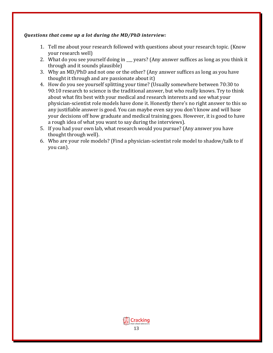#### *Questions that come up a lot during the MD/PhD interview:*

- 1. Tell me about your research followed with questions about your research topic. (Know your research well)
- 2. What do you see yourself doing in years? (Any answer suffices as long as you think it through and it sounds plausible)
- 3. Why an MD/PhD and not one or the other? (Any answer suffices as long as you have thought it through and are passionate about it)
- 4. How do you see yourself splitting your time? (Usually somewhere between 70:30 to 90:10 research to science is the traditional answer, but who really knows. Try to think about what fits best with your medical and research interests and see what your physician-scientist role models have done it. Honestly there's no right answer to this so any justifiable answer is good. You can maybe even say you don't know and will base your decisions off how graduate and medical training goes. However, it is good to have a rough idea of what you want to say during the interviews).
- 5. If you had your own lab, what research would you pursue? (Any answer you have thought through well).
- 6. Who are your role models? (Find a physician-scientist role model to shadow/talk to if you can).

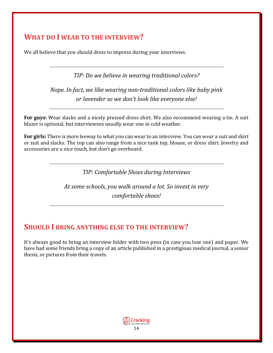## **WHAT DO I WEAR TO THE INTERVIEW?**

We all believe that you should dress to impress during your interviews.

*TIP: Do we believe in wearing traditional colors?*

*Nope. In fact, we like wearing non-traditional colors like baby pink or lavender so we don't look like everyone else!*

**For guys:** Wear slacks and a nicely pressed dress shirt. We also recommend wearing a tie. A suit blazer is optional, but interviewees usually wear one in cold weather.

**For girls:** There is more leeway to what you can wear to an interview. You can wear a suit and skirt or suit and slacks. The top can also range from a nice tank top, blouse, or dress shirt. Jewelry and accessories are a nice touch, but don't go overboard.

*TIP: Comfortable Shoes during Interviews*

*At some schools, you walk around a lot. So invest in very comfortable shoes!*

## **SHOULD I BRING ANYTHING ELSE TO THE INTERVIEW?**

It's always good to bring an interview folder with two pens (in case you lose one) and paper. We have had some friends bring a copy of an article published in a prestigious medical journal, a senior thesis, or pictures from their travels.